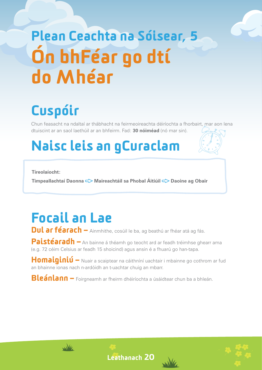# Plean Ceachta na Sóisear, 5 Ón bhFéar go dtí do Mhéar

## Cuspóir

Chun feasacht na ndaltaí ar thábhacht na feirmeoireachta déiríochta a fhorbairt, mar aon lena dtuiscint ar an saol laethúil ar an bhfeirm. Fad: **30 nóiméad** (nó mar sin).

### Naisc leis an gCuraclam

**Tíreolaíocht:**

**Timpeallachtaí Daonna < Maireachtáil sa Phobal Áitiúil < Daoine ag Obair** 

### Focail an Lae

Dul ar féarach – Ainmhithe, cosúil le ba, ag beathú ar fhéar atá ag fás.

Paistéaradh – An bainne á théamh go teocht ard ar feadh tréimhse ghearr ama (e.g. 72 céim Celsius ar feadh 15 shoicind) agus ansin é a fhuarú go han-tapa.

Homaiginiú – Nuair a scaiptear na cáithníní uachtair i mbainne go cothrom ar fud an bhainne ionas nach n-ardóidh an t-uachtar chuig an mbarr.

Bleánlann – Foirgneamh ar fheirm dhéiríochta a úsáidtear chun ba a bhleán.





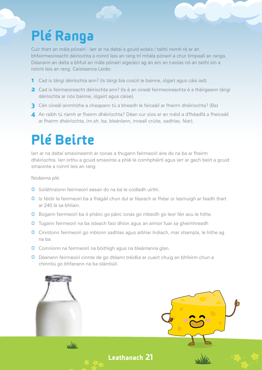### Plé Ranga

Cuir thart an mála pónairí - Iarr ar na daltaí a gcuid eolais / taithí roimh ré ar an bhfeirmeoireacht déiríochta a roinnt leis an rang trí mhála pónairí a chur timpeall an ranga. Déanann an dalta a bhfuil an mála pónairí aige/aici ag an am an t-eolas nó an taithí sin a roinnt leis an rang. Ceisteanna Leide:

- 1 Cad is táirgí déiríochta ann? (Is táirgí bia cosúil le bainne, iógart agus cáis iad).
- 2 Cad is feirmeoireacht déiríochta ann? (Is é an cineál feirmeoireachta é a tháirgeann táirgí déiríochta ar nós bainne, iógairt agus cáise).
- 3 Cén cineál ainmhithe a cheapann tú a bheadh le feiceáil ar fheirm dhéiríochta? (Ba)
- 4 An raibh tú riamh ar fheirm dhéiríochta? Déan cur síos ar an méid a d'fhéadfá a fheiceáil ar fheirm dhéiríochta, (m.sh. ba, bleánlann, inneall crúite, sadhlas, féar).

### Plé Beirte

Iarr ar na daltaí smaoineamh ar conas a thugann feirmeoirí aire do na ba ar fheirm dhéiríochta. Iarr orthu a gcuid smaointe a phlé le comhpháirtí agus iarr ar gach beirt a gcuid smaointe a roinnt leis an rang

Nodanna plé:

- **O** Soláthraíonn feirmeoirí easair do na ba le codladh uirthi.
- **O** Is féidir le feirmeoirí ba a fhágáil chun dul ar féarach ar fhéar úr lasmuigh ar feadh thart ar 240 lá sa bhliain.
- **O** Bogann feirmeoirí ba ó pháirc go páirc ionas go mbeidh go leor féir acu le hithe.
- **O** Tugann feirmeoirí na ba isteach faoi dhíon agus an aimsir fuar sa gheimhreadh
- **O** Cinntíonn feirmeoirí go mbíonn sadhlas agus arbhar Indiach, mar shampla, le hithe ag na ba.
- **O** Coinníonn na feirmeoirí na bóithigh agus na bleánlanna glan.
- Déanann feirmeoirí cinnte de go dtéann tréidlia ar cuairt chuig an bhfeirm chun a chinntiú go bhfanann na ba sláintiúil.

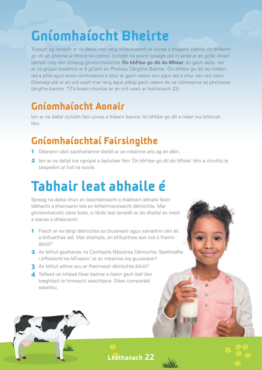### Gníomhaíocht Bheirte

Tosaigh ag iarraidh ar na daltaí mar rang smaoineamh ar conas a thagann bainne ón bhfeirm go dtí an ghloine ar bhord na cistine. Scríobh na pointí tosaigh plé in airde ar an gclár. Ansin tabhair cóip den bhileog ghníomhaíochta '**Ón bhFéar go dtí do Mhéar**' do gach dalta. Iarr ar na grúpaí breathnú ar 8 gCéim an Phróisis Táirgithe Bainne. 'Ón bhféar go dtí do mhéar', iad a phlé agus ansin uimhreacha a chur ar gach ceann acu agus iad a chur san ord ceart. Déanaigí plé ar an ord ceart mar rang agus pléigí gach ceann de na céimeanna sa phróiseas táirgthe bainne. \*(Tá breac-chuntas ar an ord ceart ar leathanach 23).

#### Gníomhaíocht Aonair

Iarr ar na daltaí scríobh faoi conas a théann bainne 'ón bhféar go dtí a méar' ina bhfocail féin.

#### Gníomhaíochtaí Fairsingithe

- 1 Déanann oibrí saotharlainne tástáil ar an mbainne arís ag an déirí.
- **2** Iarr ar na daltaí ina ngrúpaí a bpóstaer féin 'Ón bhFéar go dtí do Mhéar' féin a chruthú le taispeáint ar fud na scoile.

## Tabhair leat abhaile é

Spreag na daltaí chun an teachtaireacht a thabhairt abhaile faoin tábhacht a bhaineann leis an bhfeirmeoireacht déiríochta. Mar ghníomhaíocht oibre baile, is féidir leat iarraidh ar do dhaltaí an méid a leanas a dhéanamh:

- 1 Féach ar na táirgí déiríochta sa chuisneoir agus sainaithin cén áit a bhfuarthas iad. Mar shampla, an bhfuarthas aon rud ó fheirm áitiúil?
- 2 An bhfuil gealltanas na Comhairle Náisiúnta Déiríochta '*Saothraithe i bPoblacht na hÉireann*' ar an mbainne ina gcuisneoir?
- 3 An bhfuil aithne acu ar fheirmeoir déiríochta áitiúil?
- 4 Taifead cé mhéad lítear bainne a ólann gach ball den teaghlach le himeacht seachtaine. Déan comparáid eatarthu.









 $\mathbf{e}$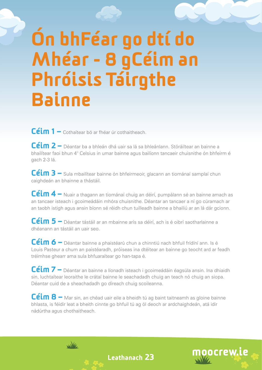# Ón bhFéar go dtí do Mhéar - 8 gCéim an Phróisis Táirgthe Bainne

Céim 1 – Cothaítear bó ar fhéar úr cothaitheach.

Céim 2 – Déantar ba a bhleán dhá uair sa lá sa bhleánlann. Stóráiltear an bainne a bhailítear faoi bhun 4° Celsius in umar bainne agus bailíonn tancaeir chuisnithe ón bhfeirm é gach 2-3 lá.

Céim 3 – Sula mbailítear bainne ón bhfeirmeoir, glacann an tiománaí samplaí chun caighdeán an bhainne a thástáil.

Céim 4 – Nuair a thagann an tiománaí chuig an déirí, pumpálann sé an bainne amach as an tancaer isteach i gcoimeádáin mhóra chuisnithe. Déantar an tancaer a ní go cúramach ar an taobh istigh agus ansin bíonn sé réidh chun tuilleadh bainne a bhailiú ar an lá dár gcionn.

Céim 5 – Déantar tástáil ar an mbainne arís sa déirí, ach is é oibrí saotharlainne a dhéanann an tástáil an uair seo.

Céim 6 – Déantar bainne a phaistéarú chun a chinntiú nach bhfuil frídíní ann. Is é Louis Pasteur a chum an paistéaradh, próiseas ina dtéitear an bainne go teocht ard ar feadh tréimhse ghearr ama sula bhfuaraítear go han-tapa é.

Céim 7 – Déantar an bainne a líonadh isteach i gcoimeádáin éagsúla ansin. Ina dhiaidh sin, luchtaítear leoraithe le crátaí bainne le seachadadh chuig an teach nó chuig an siopa. Déantar cuid de a sheachadadh go díreach chuig scoileanna.

Céim 8 – Mar sin, an chéad uair eile a bheidh tú ag baint taitneamh as gloine bainne bhlasta, is féidir leat a bheith cinnte go bhfuil tú ag ól deoch ar ardchaighdeán, atá idir nádúrtha agus chothaitheach.



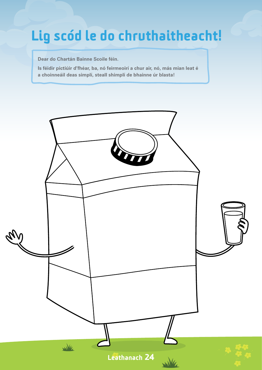### Lig scód le do chruthaitheacht!

**Dear do Chartán Bainne Scoile féin.** 

**Is féidir pictiúir d'fhéar, ba, nó feirmeoirí a chur air, nó, más mian leat é a choinneáil deas simplí, steall shimplí de bhainne úr blasta!**